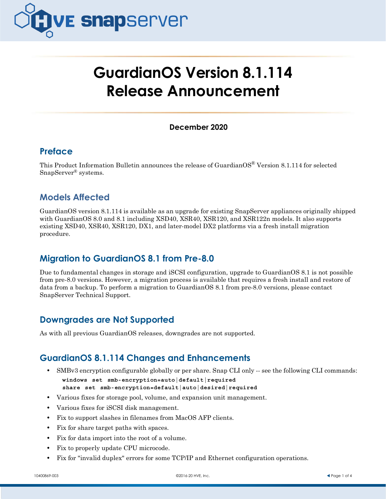

# **GuardianOS Version 8.1.114 Release Announcement**

#### **December 2020**

## **Preface**

This Product Information Bulletin announces the release of Guardian $OS^{\circ}$  Version 8.1.114 for selected SnapServer® systems.

# **Models Affected**

GuardianOS version 8.1.114 is available as an upgrade for existing SnapServer appliances originally shipped with GuardianOS 8.0 and 8.1 including XSD40, XSR40, XSR120, and XSR122n models. It also supports existing XSD40, XSR40, XSR120, DX1, and later-model DX2 platforms via a fresh install migration procedure.

# **Migration to GuardianOS 8.1 from Pre-8.0**

Due to fundamental changes in storage and iSCSI configuration, upgrade to GuardianOS 8.1 is not possible from pre-8.0 versions. However, a migration process is available that requires a fresh install and restore of data from a backup. To perform a migration to GuardianOS 8.1 from pre-8.0 versions, please contact SnapServer Technical Support.

# **Downgrades are Not Supported**

As with all previous GuardianOS releases, downgrades are not supported.

# **GuardianOS 8.1.114 Changes and Enhancements**

- **•** SMBv3 encryption configurable globally or per share. Snap CLI only -- see the following CLI commands: **windows set smb-encryption=auto|default|required share set smb-encryption=default|auto|desired|required**
- **•** Various fixes for storage pool, volume, and expansion unit management.
- **•** Various fixes for iSCSI disk management.
- **•** Fix to support slashes in filenames from MacOS AFP clients.
- **•** Fix for share target paths with spaces.
- **•** Fix for data import into the root of a volume.
- **•** Fix to properly update CPU microcode.
- **•** Fix for "invalid duplex" errors for some TCP/IP and Ethernet configuration operations.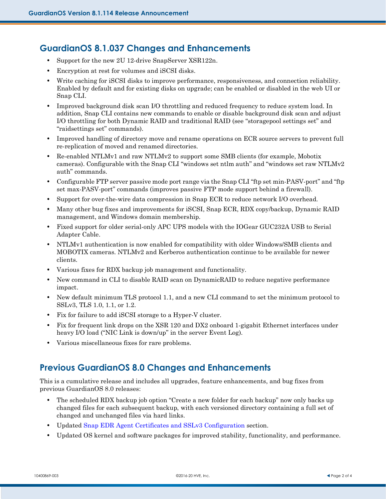## **GuardianOS 8.1.037 Changes and Enhancements**

- **•** Support for the new 2U 12-drive SnapServer XSR122n.
- **•** Encryption at rest for volumes and iSCSI disks.
- Write caching for iSCSI disks to improve performance, responsiveness, and connection reliability. Enabled by default and for existing disks on upgrade; can be enabled or disabled in the web UI or Snap CLI.
- Improved background disk scan I/O throttling and reduced frequency to reduce system load. In addition, Snap CLI contains new commands to enable or disable background disk scan and adjust I/O throttling for both Dynamic RAID and traditional RAID (see "storagepool settings set" and "raidsettings set" commands).
- Improved handling of directory move and rename operations on ECR source servers to prevent full re-replication of moved and renamed directories.
- Re-enabled NTLMv1 and raw NTLMv2 to support some SMB clients (for example, Mobotix cameras). Configurable with the Snap CLI "windows set ntlm auth" and "windows set raw NTLMv2 auth" commands.
- **•** Configurable FTP server passive mode port range via the Snap CLI "ftp set min-PASV-port" and "ftp set max-PASV-port" commands (improves passive FTP mode support behind a firewall).
- **•** Support for over-the-wire data compression in Snap ECR to reduce network I/O overhead.
- **•** Many other bug fixes and improvements for iSCSI, Snap ECR, RDX copy/backup, Dynamic RAID management, and Windows domain membership.
- **•** Fixed support for older serial-only APC UPS models with the IOGear GUC232A USB to Serial Adapter Cable.
- **•** NTLMv1 authentication is now enabled for compatibility with older Windows/SMB clients and MOBOTIX cameras. NTLMv2 and Kerberos authentication continue to be available for newer clients.
- **•** Various fixes for RDX backup job management and functionality.
- **•** New command in CLI to disable RAID scan on DynamicRAID to reduce negative performance impact.
- New default minimum TLS protocol 1.1, and a new CLI command to set the minimum protocol to SSLv3, TLS 1.0, 1.1, or 1.2.
- **•** Fix for failure to add iSCSI storage to a Hyper-V cluster.
- **•** Fix for frequent link drops on the XSR 120 and DX2 onboard 1-gigabit Ethernet interfaces under heavy I/O load ("NIC Link is down/up" in the server Event Log).
- **•** Various miscellaneous fixes for rare problems.

#### **Previous GuardianOS 8.0 Changes and Enhancements**

This is a cumulative release and includes all upgrades, feature enhancements, and bug fixes from previous GuardianOS 8.0 releases:

- The scheduled RDX backup job option "Create a new folder for each backup" now only backs up changed files for each subsequent backup, with each versioned directory containing a full set of changed and unchanged files via hard links.
- **•** Updated [Snap EDR Agent Certificates and SSLv3 Configuration](#page-2-0) section.
- **•** Updated OS kernel and software packages for improved stability, functionality, and performance.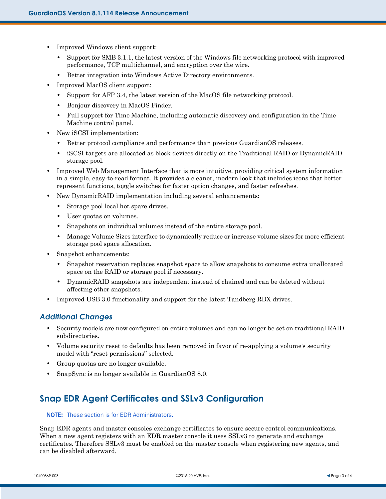- **•** Improved Windows client support:
	- **•** Support for SMB 3.1.1, the latest version of the Windows file networking protocol with improved performance, TCP multichannel, and encryption over the wire.
	- **•** Better integration into Windows Active Directory environments.
- **•** Improved MacOS client support:
	- **•** Support for AFP 3.4, the latest version of the MacOS file networking protocol.
	- **•** Bonjour discovery in MacOS Finder.
	- **•** Full support for Time Machine, including automatic discovery and configuration in the Time Machine control panel.
- **•** New iSCSI implementation:
	- **•** Better protocol compliance and performance than previous GuardianOS releases.
	- **•** iSCSI targets are allocated as block devices directly on the Traditional RAID or DynamicRAID storage pool.
- Improved Web Management Interface that is more intuitive, providing critical system information in a simple, easy-to-read format. It provides a cleaner, modern look that includes icons that better represent functions, toggle switches for faster option changes, and faster refreshes.
- **•** New DynamicRAID implementation including several enhancements:
	- **•** Storage pool local hot spare drives.
	- **•** User quotas on volumes.
	- **•** Snapshots on individual volumes instead of the entire storage pool.
	- **•** Manage Volume Sizes interface to dynamically reduce or increase volume sizes for more efficient storage pool space allocation.
- **•** Snapshot enhancements:
	- **•** Snapshot reservation replaces snapshot space to allow snapshots to consume extra unallocated space on the RAID or storage pool if necessary.
	- **•** DynamicRAID snapshots are independent instead of chained and can be deleted without affecting other snapshots.
- **•** Improved USB 3.0 functionality and support for the latest Tandberg RDX drives.

#### *Additional Changes*

- Security models are now configured on entire volumes and can no longer be set on traditional RAID subdirectories.
- Volume security reset to defaults has been removed in favor of re-applying a volume's security model with "reset permissions" selected.
- **•** Group quotas are no longer available.
- **•** SnapSync is no longer available in GuardianOS 8.0.

# <span id="page-2-0"></span>**Snap EDR Agent Certificates and SSLv3 Configuration**

#### NOTE: These section is for EDR Administrators.

Snap EDR agents and master consoles exchange certificates to ensure secure control communications. When a new agent registers with an EDR master console it uses SSLv3 to generate and exchange certificates. Therefore SSLv3 must be enabled on the master console when registering new agents, and can be disabled afterward.